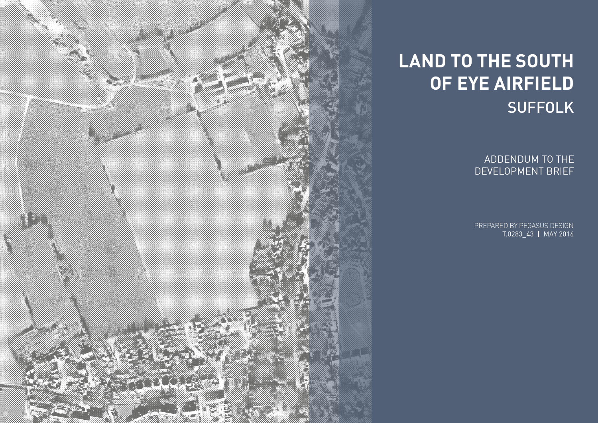PREPARED BY PEGASUS DESIGN T.0283\_43 **|** MAY 2016

ADDENDUM TO THE DEVELOPMENT BRIEF



## **LAND TO THE SOUTH OF EYE AIRFIELD** SUFFOLK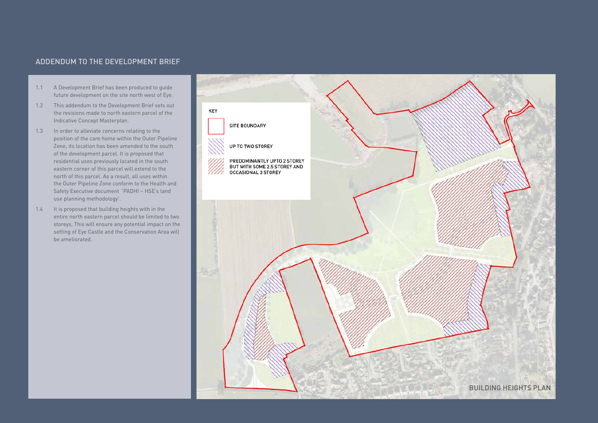## ADDENDUM TO THE DEVELOPMENT BRIEF

- 1.1 A Development Brief has been produced to guide future development on the site north west of Eye.
- 1.2 This addendum to the Development Brief sets out the revisions made to north eastern parcel of the Indicative Concept Masterplan.
- 1.3 In order to alleviate concerns relating to the position of the care home within the Outer Pipeline Zone, its location has been amended to the south of the development parcel. It is proposed that residential uses previously located in the south eastern corner of this parcel will extend to the north of this parcel. As a result, all uses within the Outer Pipeline Zone conform to the Health and Safety Executive document 'PADHI – HSE's land use planning methodology'.
- 1.4 It is proposed that building heights with in the entire north eastern parcel should be limited to two storeys, This will ensure any potential impact on the setting of Eye Castle and the Conservation Area will be ameliorated.

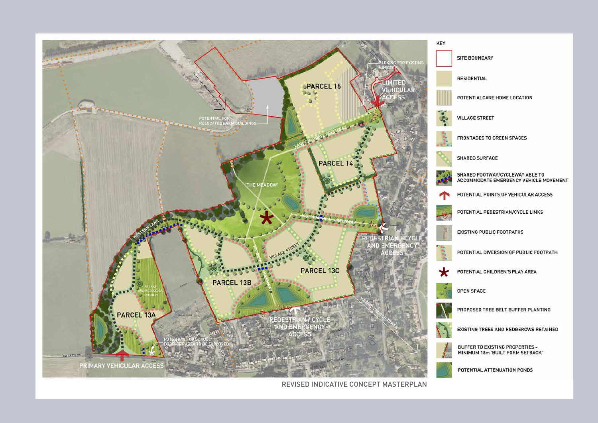

REVISED INDICATIVE CONCEPT MASTERPLAN

POTENTIAL ATTENUATION PONDS

BUFFER TO EXISTING PROPERTIES -<br>MINIMUM 18m 'BUILT FORM SETBACK'

EXISTING TREES AND HEDGEROWS RETAINED

PROPOSED TREE BELT BUFFER PLANTING

**OPEN SPACE** 

POTENTIAL CHILDREN'S PLAY AREA

POTENTIAL DIVERSION OF PUBLIC FOOTPATH

**EXISTING PUBLIC FOOTPATHS** 

POTENTIAL PEDESTRIAN/CYCLE LINKS

POTENTIAL POINTS OF VEHICULAR ACCESS

SHARED FOOTWAY/CYCLEWAY ABLE TO<br>ACCOMMODATE EMERGENCY VEHICLE MOVEMENT

**SHARED SURFACE** 

FRONTAGES TO GREEN SPACES

**VILLAGE STREET** 

POTENTIALCARE HOME LOCATION

**RESIDENTIAL** 

SITE BOUNDARY